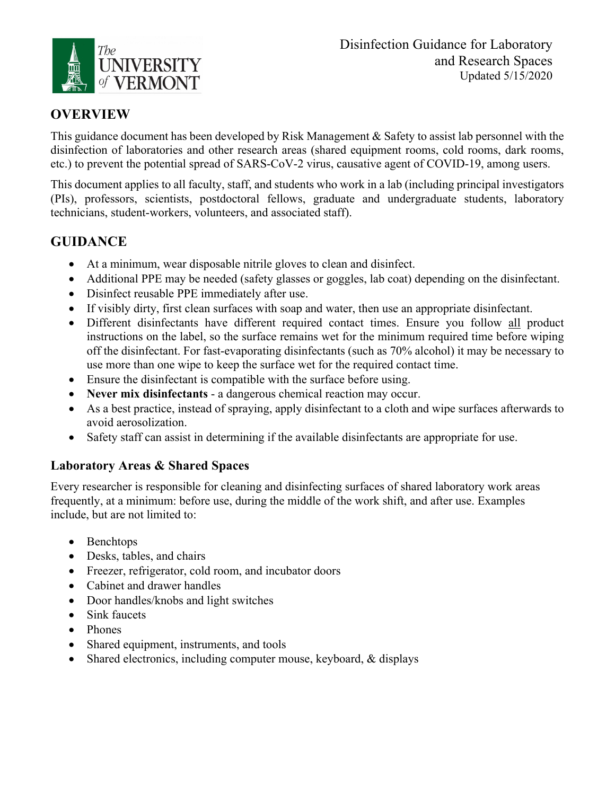

# **OVERVIEW**

This guidance document has been developed by Risk Management & Safety to assist lab personnel with the disinfection of laboratories and other research areas (shared equipment rooms, cold rooms, dark rooms, etc.) to prevent the potential spread of SARS-CoV-2 virus, causative agent of COVID-19, among users.

This document applies to all faculty, staff, and students who work in a lab (including principal investigators (PIs), professors, scientists, postdoctoral fellows, graduate and undergraduate students, laboratory technicians, student-workers, volunteers, and associated staff).

# **GUIDANCE**

- At a minimum, wear disposable nitrile gloves to clean and disinfect.
- Additional PPE may be needed (safety glasses or goggles, lab coat) depending on the disinfectant.
- Disinfect reusable PPE immediately after use.
- If visibly dirty, first clean surfaces with soap and water, then use an appropriate disinfectant.
- Different disinfectants have different required contact times. Ensure you follow all product instructions on the label, so the surface remains wet for the minimum required time before wiping off the disinfectant. For fast-evaporating disinfectants (such as 70% alcohol) it may be necessary to use more than one wipe to keep the surface wet for the required contact time.
- Ensure the disinfectant is compatible with the surface before using.
- **Never mix disinfectants**  a dangerous chemical reaction may occur.
- As a best practice, instead of spraying, apply disinfectant to a cloth and wipe surfaces afterwards to avoid aerosolization.
- Safety staff can assist in determining if the available disinfectants are appropriate for use.

## **Laboratory Areas & Shared Spaces**

Every researcher is responsible for cleaning and disinfecting surfaces of shared laboratory work areas frequently, at a minimum: before use, during the middle of the work shift, and after use. Examples include, but are not limited to:

- Benchtops
- Desks, tables, and chairs
- Freezer, refrigerator, cold room, and incubator doors
- Cabinet and drawer handles
- Door handles/knobs and light switches
- Sink faucets
- Phones
- Shared equipment, instruments, and tools
- Shared electronics, including computer mouse, keyboard, & displays